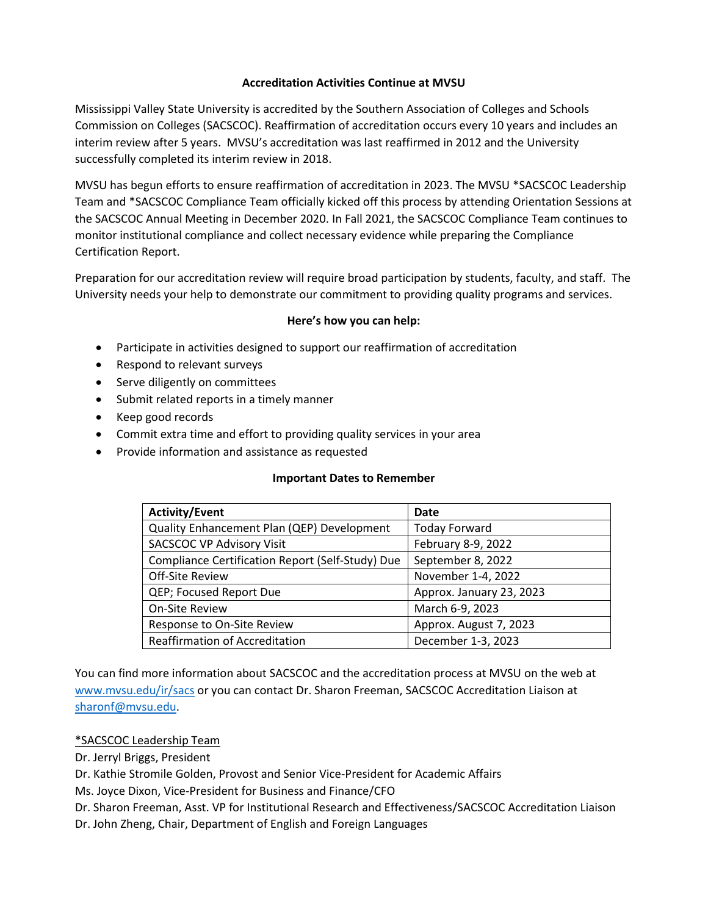### **Accreditation Activities Continue at MVSU**

Mississippi Valley State University is accredited by the Southern Association of Colleges and Schools Commission on Colleges (SACSCOC). Reaffirmation of accreditation occurs every 10 years and includes an interim review after 5 years. MVSU's accreditation was last reaffirmed in 2012 and the University successfully completed its interim review in 2018.

MVSU has begun efforts to ensure reaffirmation of accreditation in 2023. The MVSU \*SACSCOC Leadership Team and \*SACSCOC Compliance Team officially kicked off this process by attending Orientation Sessions at the SACSCOC Annual Meeting in December 2020. In Fall 2021, the SACSCOC Compliance Team continues to monitor institutional compliance and collect necessary evidence while preparing the Compliance Certification Report.

Preparation for our accreditation review will require broad participation by students, faculty, and staff. The University needs your help to demonstrate our commitment to providing quality programs and services.

### **Here's how you can help:**

- Participate in activities designed to support our reaffirmation of accreditation
- Respond to relevant surveys
- Serve diligently on committees
- Submit related reports in a timely manner
- Keep good records
- Commit extra time and effort to providing quality services in your area
- Provide information and assistance as requested

### **Important Dates to Remember**

| <b>Activity/Event</b>                            | Date                     |
|--------------------------------------------------|--------------------------|
| Quality Enhancement Plan (QEP) Development       | <b>Today Forward</b>     |
| <b>SACSCOC VP Advisory Visit</b>                 | February 8-9, 2022       |
| Compliance Certification Report (Self-Study) Due | September 8, 2022        |
| Off-Site Review                                  | November 1-4, 2022       |
| QEP; Focused Report Due                          | Approx. January 23, 2023 |
| <b>On-Site Review</b>                            | March 6-9, 2023          |
| Response to On-Site Review                       | Approx. August 7, 2023   |
| <b>Reaffirmation of Accreditation</b>            | December 1-3, 2023       |

You can find more information about SACSCOC and the accreditation process at MVSU on the web at [www.mvsu.edu/ir/sacs](http://www.mvsu.edu/ir/sacs) or you can contact Dr. Sharon Freeman, SACSCOC Accreditation Liaison at [sharonf@mvsu.edu.](mailto:sharonf@mvsu.edu)

# \*SACSCOC Leadership Team

Dr. Jerryl Briggs, President

Dr. Kathie Stromile Golden, Provost and Senior Vice-President for Academic Affairs

Ms. Joyce Dixon, Vice-President for Business and Finance/CFO

Dr. Sharon Freeman, Asst. VP for Institutional Research and Effectiveness/SACSCOC Accreditation Liaison

Dr. John Zheng, Chair, Department of English and Foreign Languages